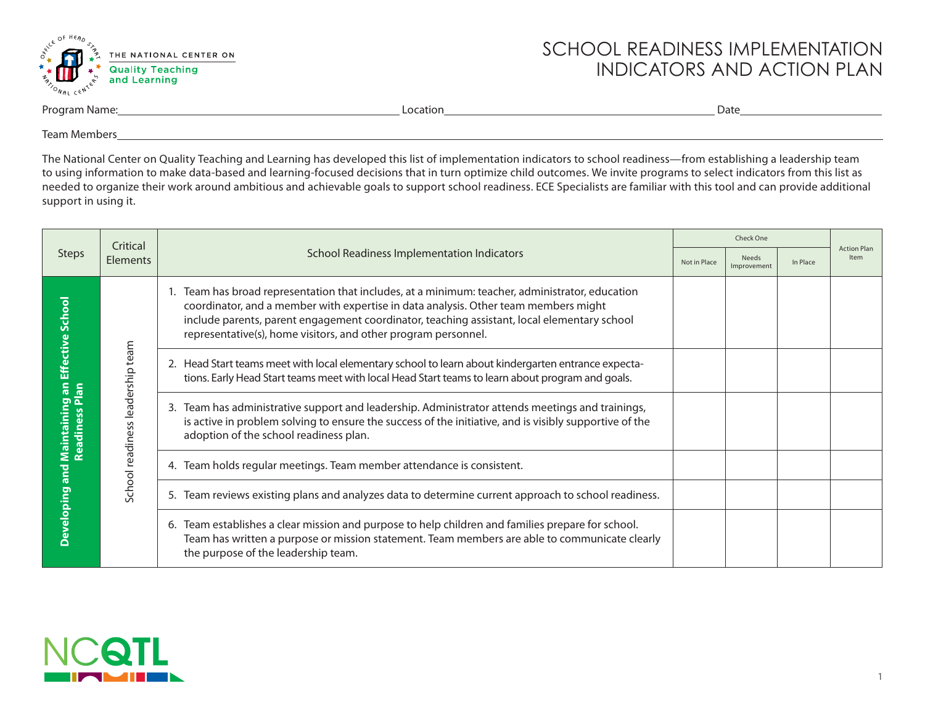

## SCHOOL READINESS IMPLEMENTATION INDICATORS AND ACTION PLAN

| Program Name: | _ocation<br>Datt |  |
|---------------|------------------|--|
|               |                  |  |

Team Members

The National Center on Quality Teaching and Learning has developed this list of implementation indicators to school readiness—from establishing a leadership team to using information to make data-based and learning-focused decisions that in turn optimize child outcomes. We invite programs to select indicators from this list as needed to organize their work around ambitious and achievable goals to support school readiness. ECE Specialists are familiar with this tool and can provide additional support in using it.

|                                                    | Critical                         |                                                                                                                                                                                                                                                                                                                                                      | Check One    |                                                                       |          |                            |  |
|----------------------------------------------------|----------------------------------|------------------------------------------------------------------------------------------------------------------------------------------------------------------------------------------------------------------------------------------------------------------------------------------------------------------------------------------------------|--------------|-----------------------------------------------------------------------|----------|----------------------------|--|
| <b>Steps</b>                                       | <b>Elements</b>                  | <b>School Readiness Implementation Indicators</b>                                                                                                                                                                                                                                                                                                    | Not in Place | <b>Needs</b><br>Improvement                                           | In Place | <b>Action Plan</b><br>Item |  |
| Effective Schoo                                    |                                  | Team has broad representation that includes, at a minimum: teacher, administrator, education<br>coordinator, and a member with expertise in data analysis. Other team members might<br>include parents, parent engagement coordinator, teaching assistant, local elementary school<br>representative(s), home visitors, and other program personnel. |              |                                                                       |          |                            |  |
| a                                                  |                                  | 2. Head Start teams meet with local elementary school to learn about kindergarten entrance expecta-<br>tions. Early Head Start teams meet with local Head Start teams to learn about program and goals.                                                                                                                                              |              |                                                                       |          |                            |  |
| Maintaining an<br>Readiness Plan<br>Developing and | School readiness leadership team | Team has administrative support and leadership. Administrator attends meetings and trainings,<br>3.<br>is active in problem solving to ensure the success of the initiative, and is visibly supportive of the<br>adoption of the school readiness plan.                                                                                              |              |                                                                       |          |                            |  |
|                                                    |                                  |                                                                                                                                                                                                                                                                                                                                                      |              | 4. Team holds regular meetings. Team member attendance is consistent. |          |                            |  |
|                                                    |                                  | 5. Team reviews existing plans and analyzes data to determine current approach to school readiness.                                                                                                                                                                                                                                                  |              |                                                                       |          |                            |  |
|                                                    |                                  | 6. Team establishes a clear mission and purpose to help children and families prepare for school.<br>Team has written a purpose or mission statement. Team members are able to communicate clearly<br>the purpose of the leadership team.                                                                                                            |              |                                                                       |          |                            |  |

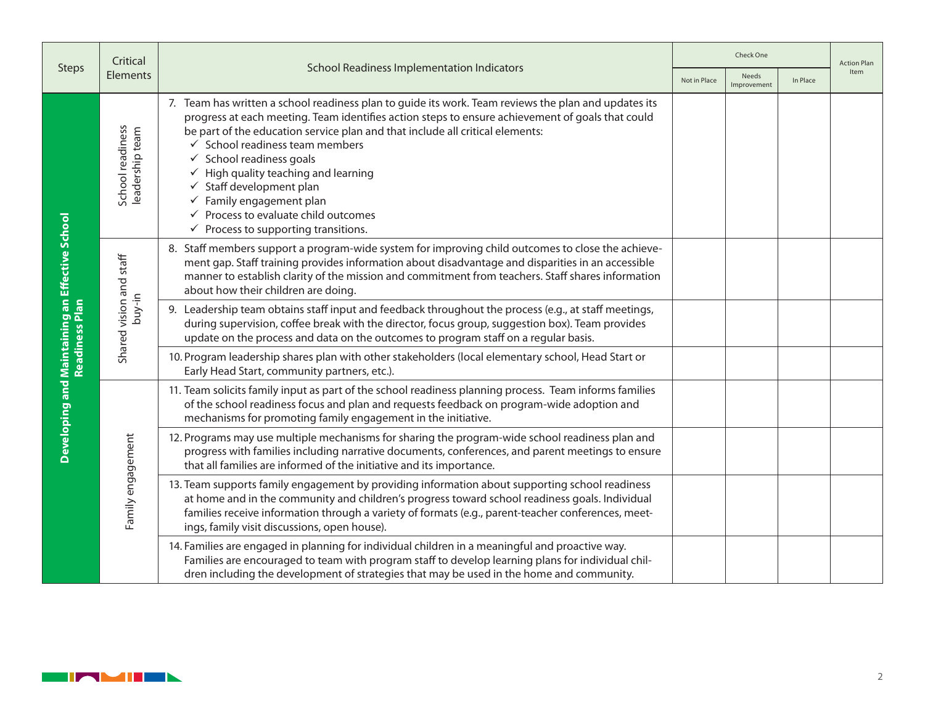|                                                                  | Critical                            |                                                                                                                                                                                                                                                                                                                                                                                                                                                                                                                                                                                                                       | Check One |                      |          | <b>Action Plan</b> |
|------------------------------------------------------------------|-------------------------------------|-----------------------------------------------------------------------------------------------------------------------------------------------------------------------------------------------------------------------------------------------------------------------------------------------------------------------------------------------------------------------------------------------------------------------------------------------------------------------------------------------------------------------------------------------------------------------------------------------------------------------|-----------|----------------------|----------|--------------------|
| <b>Steps</b>                                                     | Elements                            | <b>School Readiness Implementation Indicators</b><br>Not in Place                                                                                                                                                                                                                                                                                                                                                                                                                                                                                                                                                     |           | Needs<br>Improvement | In Place | Item               |
| Developing and Maintaining an Effective School<br>Readiness Plan | School readiness<br>leadership team | 7. Team has written a school readiness plan to guide its work. Team reviews the plan and updates its<br>progress at each meeting. Team identifies action steps to ensure achievement of goals that could<br>be part of the education service plan and that include all critical elements:<br>$\checkmark$ School readiness team members<br>$\checkmark$ School readiness goals<br>$\checkmark$ High quality teaching and learning<br>$\checkmark$ Staff development plan<br>$\checkmark$ Family engagement plan<br>$\checkmark$ Process to evaluate child outcomes<br>$\checkmark$ Process to supporting transitions. |           |                      |          |                    |
|                                                                  | Shared vision and staff<br>buy-in   | 8. Staff members support a program-wide system for improving child outcomes to close the achieve-<br>ment gap. Staff training provides information about disadvantage and disparities in an accessible<br>manner to establish clarity of the mission and commitment from teachers. Staff shares information<br>about how their children are doing.                                                                                                                                                                                                                                                                    |           |                      |          |                    |
|                                                                  |                                     | 9. Leadership team obtains staff input and feedback throughout the process (e.g., at staff meetings,<br>during supervision, coffee break with the director, focus group, suggestion box). Team provides<br>update on the process and data on the outcomes to program staff on a regular basis.                                                                                                                                                                                                                                                                                                                        |           |                      |          |                    |
|                                                                  |                                     | 10. Program leadership shares plan with other stakeholders (local elementary school, Head Start or<br>Early Head Start, community partners, etc.).                                                                                                                                                                                                                                                                                                                                                                                                                                                                    |           |                      |          |                    |
|                                                                  | Family engagement                   | 11. Team solicits family input as part of the school readiness planning process. Team informs families<br>of the school readiness focus and plan and requests feedback on program-wide adoption and<br>mechanisms for promoting family engagement in the initiative.                                                                                                                                                                                                                                                                                                                                                  |           |                      |          |                    |
|                                                                  |                                     | 12. Programs may use multiple mechanisms for sharing the program-wide school readiness plan and<br>progress with families including narrative documents, conferences, and parent meetings to ensure<br>that all families are informed of the initiative and its importance.                                                                                                                                                                                                                                                                                                                                           |           |                      |          |                    |
|                                                                  |                                     | 13. Team supports family engagement by providing information about supporting school readiness<br>at home and in the community and children's progress toward school readiness goals. Individual<br>families receive information through a variety of formats (e.g., parent-teacher conferences, meet-<br>ings, family visit discussions, open house).                                                                                                                                                                                                                                                                |           |                      |          |                    |
|                                                                  |                                     | 14. Families are engaged in planning for individual children in a meaningful and proactive way.<br>Families are encouraged to team with program staff to develop learning plans for individual chil-<br>dren including the development of strategies that may be used in the home and community.                                                                                                                                                                                                                                                                                                                      |           |                      |          |                    |

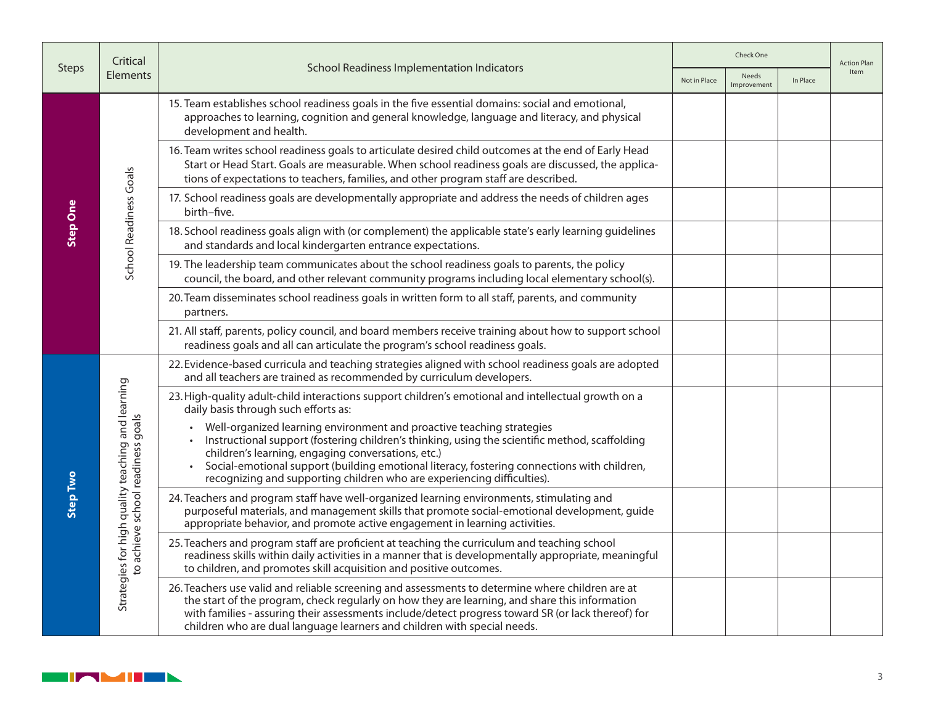|                 | Critical                                                                               | <b>School Readiness Implementation Indicators</b><br>Not in Place                                                                                                                                                                                                                                                                                                                                         |  | Check One            |          |             |  |
|-----------------|----------------------------------------------------------------------------------------|-----------------------------------------------------------------------------------------------------------------------------------------------------------------------------------------------------------------------------------------------------------------------------------------------------------------------------------------------------------------------------------------------------------|--|----------------------|----------|-------------|--|
| <b>Steps</b>    | Elements                                                                               |                                                                                                                                                                                                                                                                                                                                                                                                           |  | Needs<br>Improvement | In Place | <b>Item</b> |  |
| <b>Step One</b> |                                                                                        | 15. Team establishes school readiness goals in the five essential domains: social and emotional,<br>approaches to learning, cognition and general knowledge, language and literacy, and physical<br>development and health.                                                                                                                                                                               |  |                      |          |             |  |
|                 |                                                                                        | 16. Team writes school readiness goals to articulate desired child outcomes at the end of Early Head<br>Start or Head Start. Goals are measurable. When school readiness goals are discussed, the applica-<br>tions of expectations to teachers, families, and other program staff are described.                                                                                                         |  |                      |          |             |  |
|                 | School Readiness Goals                                                                 | 17. School readiness goals are developmentally appropriate and address the needs of children ages<br>birth-five.                                                                                                                                                                                                                                                                                          |  |                      |          |             |  |
|                 |                                                                                        | 18. School readiness goals align with (or complement) the applicable state's early learning guidelines<br>and standards and local kindergarten entrance expectations.                                                                                                                                                                                                                                     |  |                      |          |             |  |
|                 |                                                                                        | 19. The leadership team communicates about the school readiness goals to parents, the policy<br>council, the board, and other relevant community programs including local elementary school(s).                                                                                                                                                                                                           |  |                      |          |             |  |
|                 |                                                                                        | 20. Team disseminates school readiness goals in written form to all staff, parents, and community<br>partners.                                                                                                                                                                                                                                                                                            |  |                      |          |             |  |
|                 |                                                                                        | 21. All staff, parents, policy council, and board members receive training about how to support school<br>readiness goals and all can articulate the program's school readiness goals.                                                                                                                                                                                                                    |  |                      |          |             |  |
|                 | Strategies for high quality teaching and learning<br>to achieve school readiness goals | 22. Evidence-based curricula and teaching strategies aligned with school readiness goals are adopted<br>and all teachers are trained as recommended by curriculum developers.                                                                                                                                                                                                                             |  |                      |          |             |  |
|                 |                                                                                        | 23. High-quality adult-child interactions support children's emotional and intellectual growth on a<br>daily basis through such efforts as:                                                                                                                                                                                                                                                               |  |                      |          |             |  |
| Step Two        |                                                                                        | • Well-organized learning environment and proactive teaching strategies<br>Instructional support (fostering children's thinking, using the scientific method, scaffolding<br>children's learning, engaging conversations, etc.)<br>Social-emotional support (building emotional literacy, fostering connections with children,<br>recognizing and supporting children who are experiencing difficulties). |  |                      |          |             |  |
|                 |                                                                                        | 24. Teachers and program staff have well-organized learning environments, stimulating and<br>purposeful materials, and management skills that promote social-emotional development, guide<br>appropriate behavior, and promote active engagement in learning activities.                                                                                                                                  |  |                      |          |             |  |
|                 |                                                                                        | 25. Teachers and program staff are proficient at teaching the curriculum and teaching school<br>readiness skills within daily activities in a manner that is developmentally appropriate, meaningful<br>to children, and promotes skill acquisition and positive outcomes.                                                                                                                                |  |                      |          |             |  |
|                 |                                                                                        | 26. Teachers use valid and reliable screening and assessments to determine where children are at<br>the start of the program, check regularly on how they are learning, and share this information<br>with families - assuring their assessments include/detect progress toward SR (or lack thereof) for<br>children who are dual language learners and children with special needs.                      |  |                      |          |             |  |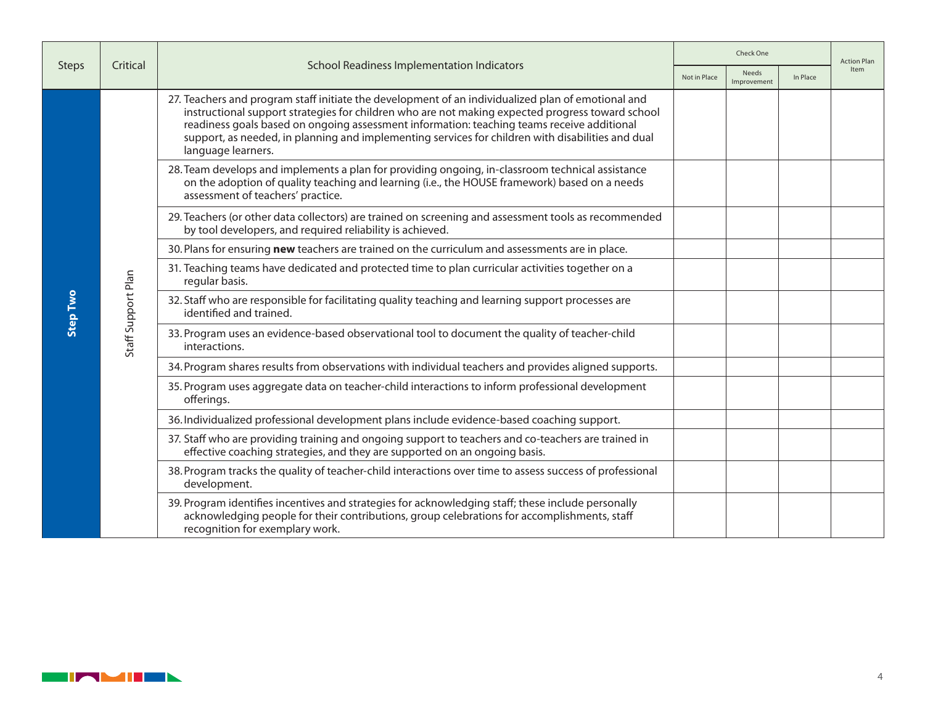|              |                    | <b>School Readiness Implementation Indicators</b><br>Not in Place                                                                                                                                                                                                                                                                                                                                                               |  | Check One            |          |      |
|--------------|--------------------|---------------------------------------------------------------------------------------------------------------------------------------------------------------------------------------------------------------------------------------------------------------------------------------------------------------------------------------------------------------------------------------------------------------------------------|--|----------------------|----------|------|
| <b>Steps</b> | Critical           |                                                                                                                                                                                                                                                                                                                                                                                                                                 |  | Needs<br>Improvement | In Place | Item |
|              |                    | 27. Teachers and program staff initiate the development of an individualized plan of emotional and<br>instructional support strategies for children who are not making expected progress toward school<br>readiness goals based on ongoing assessment information: teaching teams receive additional<br>support, as needed, in planning and implementing services for children with disabilities and dual<br>language learners. |  |                      |          |      |
|              |                    | 28. Team develops and implements a plan for providing ongoing, in-classroom technical assistance<br>on the adoption of quality teaching and learning (i.e., the HOUSE framework) based on a needs<br>assessment of teachers' practice.                                                                                                                                                                                          |  |                      |          |      |
|              |                    | 29. Teachers (or other data collectors) are trained on screening and assessment tools as recommended<br>by tool developers, and required reliability is achieved.                                                                                                                                                                                                                                                               |  |                      |          |      |
|              |                    | 30. Plans for ensuring new teachers are trained on the curriculum and assessments are in place.                                                                                                                                                                                                                                                                                                                                 |  |                      |          |      |
| Step Two     | Staff Support Plan | 31. Teaching teams have dedicated and protected time to plan curricular activities together on a<br>regular basis.                                                                                                                                                                                                                                                                                                              |  |                      |          |      |
|              |                    | 32. Staff who are responsible for facilitating quality teaching and learning support processes are<br>identified and trained.                                                                                                                                                                                                                                                                                                   |  |                      |          |      |
|              |                    | 33. Program uses an evidence-based observational tool to document the quality of teacher-child<br>interactions.                                                                                                                                                                                                                                                                                                                 |  |                      |          |      |
|              |                    | 34. Program shares results from observations with individual teachers and provides aligned supports.                                                                                                                                                                                                                                                                                                                            |  |                      |          |      |
|              |                    | 35. Program uses aggregate data on teacher-child interactions to inform professional development<br>offerings.                                                                                                                                                                                                                                                                                                                  |  |                      |          |      |
|              |                    | 36. Individualized professional development plans include evidence-based coaching support.                                                                                                                                                                                                                                                                                                                                      |  |                      |          |      |
|              |                    | 37. Staff who are providing training and ongoing support to teachers and co-teachers are trained in<br>effective coaching strategies, and they are supported on an ongoing basis.                                                                                                                                                                                                                                               |  |                      |          |      |
|              |                    | 38. Program tracks the quality of teacher-child interactions over time to assess success of professional<br>development.                                                                                                                                                                                                                                                                                                        |  |                      |          |      |
|              |                    | 39. Program identifies incentives and strategies for acknowledging staff; these include personally<br>acknowledging people for their contributions, group celebrations for accomplishments, staff<br>recognition for exemplary work.                                                                                                                                                                                            |  |                      |          |      |

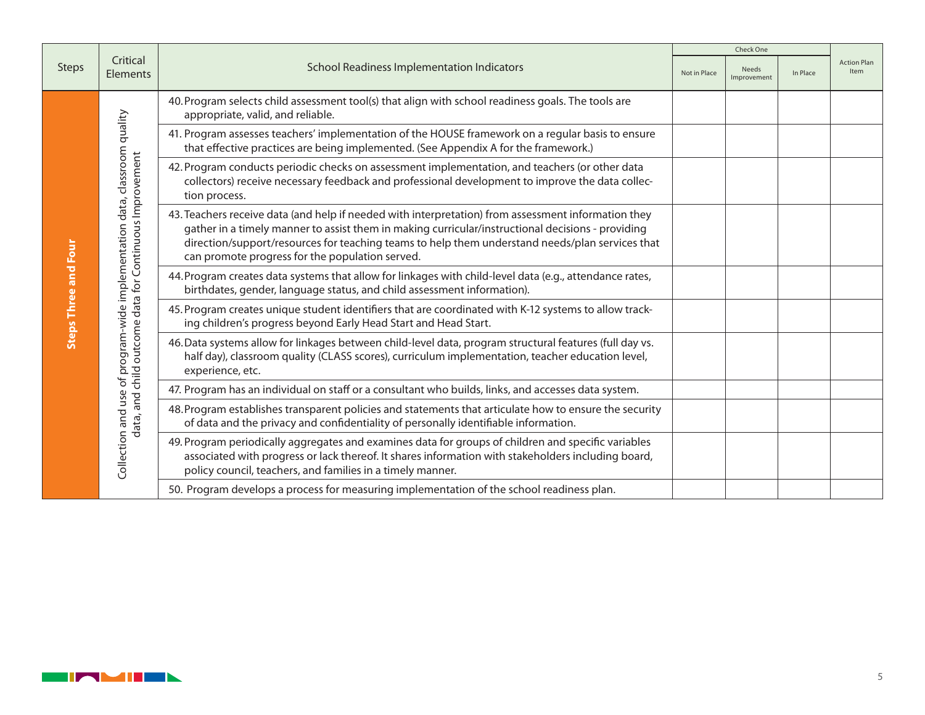|                             |                                                                                                                      |                                                                                                                                                                                                                                                                                                                                                                | Check One |                      |          |                                   |
|-----------------------------|----------------------------------------------------------------------------------------------------------------------|----------------------------------------------------------------------------------------------------------------------------------------------------------------------------------------------------------------------------------------------------------------------------------------------------------------------------------------------------------------|-----------|----------------------|----------|-----------------------------------|
| <b>Steps</b>                | Critical<br><b>Elements</b>                                                                                          | <b>School Readiness Implementation Indicators</b>                                                                                                                                                                                                                                                                                                              |           | Needs<br>Improvement | In Place | <b>Action Plan</b><br><b>Item</b> |
| <b>Steps Three and Four</b> |                                                                                                                      | 40. Program selects child assessment tool(s) that align with school readiness goals. The tools are<br>appropriate, valid, and reliable.                                                                                                                                                                                                                        |           |                      |          |                                   |
|                             |                                                                                                                      | 41. Program assesses teachers' implementation of the HOUSE framework on a regular basis to ensure<br>that effective practices are being implemented. (See Appendix A for the framework.)                                                                                                                                                                       |           |                      |          |                                   |
|                             |                                                                                                                      | 42. Program conducts periodic checks on assessment implementation, and teachers (or other data<br>collectors) receive necessary feedback and professional development to improve the data collec-<br>tion process.                                                                                                                                             |           |                      |          |                                   |
|                             | Collection and use of program-wide implementation data, classroom quality<br>outcome data for Continuous Improvement | 43. Teachers receive data (and help if needed with interpretation) from assessment information they<br>gather in a timely manner to assist them in making curricular/instructional decisions - providing<br>direction/support/resources for teaching teams to help them understand needs/plan services that<br>can promote progress for the population served. |           |                      |          |                                   |
|                             |                                                                                                                      | 44. Program creates data systems that allow for linkages with child-level data (e.g., attendance rates,<br>birthdates, gender, language status, and child assessment information).                                                                                                                                                                             |           |                      |          |                                   |
|                             |                                                                                                                      | 45. Program creates unique student identifiers that are coordinated with K-12 systems to allow track-<br>ing children's progress beyond Early Head Start and Head Start.                                                                                                                                                                                       |           |                      |          |                                   |
|                             |                                                                                                                      | 46. Data systems allow for linkages between child-level data, program structural features (full day vs.<br>half day), classroom quality (CLASS scores), curriculum implementation, teacher education level,<br>experience, etc.                                                                                                                                |           |                      |          |                                   |
|                             |                                                                                                                      | 47. Program has an individual on staff or a consultant who builds, links, and accesses data system.                                                                                                                                                                                                                                                            |           |                      |          |                                   |
|                             | data, and child                                                                                                      | 48. Program establishes transparent policies and statements that articulate how to ensure the security<br>of data and the privacy and confidentiality of personally identifiable information.                                                                                                                                                                  |           |                      |          |                                   |
|                             |                                                                                                                      | 49. Program periodically aggregates and examines data for groups of children and specific variables<br>associated with progress or lack thereof. It shares information with stakeholders including board,<br>policy council, teachers, and families in a timely manner.                                                                                        |           |                      |          |                                   |
|                             |                                                                                                                      | 50. Program develops a process for measuring implementation of the school readiness plan.                                                                                                                                                                                                                                                                      |           |                      |          |                                   |

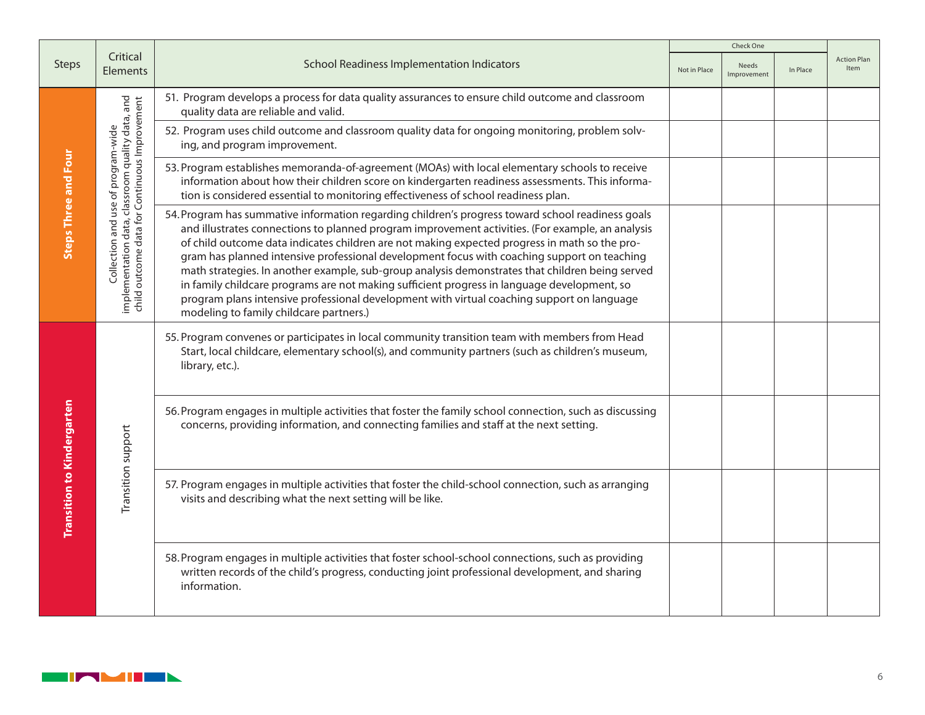|                                   |                                                                                                                                         |                                                                                                                                                                                                                                                                                                                                                                                                                                                                                                                                                                                                                                                                                                                                                  | Check One    |                      |          |                            |
|-----------------------------------|-----------------------------------------------------------------------------------------------------------------------------------------|--------------------------------------------------------------------------------------------------------------------------------------------------------------------------------------------------------------------------------------------------------------------------------------------------------------------------------------------------------------------------------------------------------------------------------------------------------------------------------------------------------------------------------------------------------------------------------------------------------------------------------------------------------------------------------------------------------------------------------------------------|--------------|----------------------|----------|----------------------------|
| <b>Steps</b>                      | Critical<br><b>Elements</b>                                                                                                             | <b>School Readiness Implementation Indicators</b>                                                                                                                                                                                                                                                                                                                                                                                                                                                                                                                                                                                                                                                                                                | Not in Place | Needs<br>Improvement | In Place | <b>Action Plan</b><br>Item |
|                                   |                                                                                                                                         | 51. Program develops a process for data quality assurances to ensure child outcome and classroom<br>quality data are reliable and valid.                                                                                                                                                                                                                                                                                                                                                                                                                                                                                                                                                                                                         |              |                      |          |                            |
|                                   |                                                                                                                                         | 52. Program uses child outcome and classroom quality data for ongoing monitoring, problem solv-<br>ing, and program improvement.                                                                                                                                                                                                                                                                                                                                                                                                                                                                                                                                                                                                                 |              |                      |          |                            |
|                                   |                                                                                                                                         | 53. Program establishes memoranda-of-agreement (MOAs) with local elementary schools to receive<br>information about how their children score on kindergarten readiness assessments. This informa-<br>tion is considered essential to monitoring effectiveness of school readiness plan.                                                                                                                                                                                                                                                                                                                                                                                                                                                          |              |                      |          |                            |
| <b>Steps Three and Four</b>       | Collection and use of program-wide<br>implementation data, classroom quality data, and<br>child outcome data for Continuous Improvement | 54. Program has summative information regarding children's progress toward school readiness goals<br>and illustrates connections to planned program improvement activities. (For example, an analysis<br>of child outcome data indicates children are not making expected progress in math so the pro-<br>gram has planned intensive professional development focus with coaching support on teaching<br>math strategies. In another example, sub-group analysis demonstrates that children being served<br>in family childcare programs are not making sufficient progress in language development, so<br>program plans intensive professional development with virtual coaching support on language<br>modeling to family childcare partners.) |              |                      |          |                            |
| <b>Transition to Kindergarten</b> | Transition support                                                                                                                      | 55. Program convenes or participates in local community transition team with members from Head<br>Start, local childcare, elementary school(s), and community partners (such as children's museum,<br>library, etc.).                                                                                                                                                                                                                                                                                                                                                                                                                                                                                                                            |              |                      |          |                            |
|                                   |                                                                                                                                         | 56. Program engages in multiple activities that foster the family school connection, such as discussing<br>concerns, providing information, and connecting families and staff at the next setting.                                                                                                                                                                                                                                                                                                                                                                                                                                                                                                                                               |              |                      |          |                            |
|                                   |                                                                                                                                         | 57. Program engages in multiple activities that foster the child-school connection, such as arranging<br>visits and describing what the next setting will be like.                                                                                                                                                                                                                                                                                                                                                                                                                                                                                                                                                                               |              |                      |          |                            |
|                                   |                                                                                                                                         | 58. Program engages in multiple activities that foster school-school connections, such as providing<br>written records of the child's progress, conducting joint professional development, and sharing<br>information.                                                                                                                                                                                                                                                                                                                                                                                                                                                                                                                           |              |                      |          |                            |